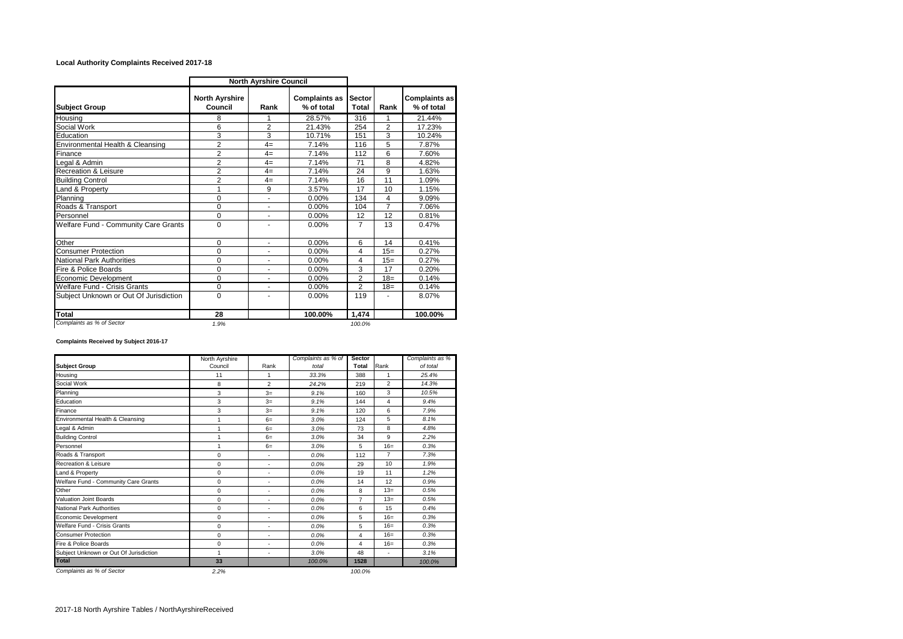## **Local Authority Complaints Received 2017-18**

|                                  |                | <b>North Ayrshire Council</b>      |                        |                |                                    |  |
|----------------------------------|----------------|------------------------------------|------------------------|----------------|------------------------------------|--|
| <b>North Ayrshire</b><br>Council | Rank           | <b>Complaints as</b><br>% of total | <b>Sector</b><br>Total | Rank           | <b>Complaints as</b><br>% of total |  |
| 8                                | 1              | 28.57%                             | 316                    | 1              | 21.44%                             |  |
| 6                                | $\overline{2}$ | 21.43%                             | 254                    | $\overline{2}$ | 17.23%                             |  |
| 3                                | 3              | 10.71%                             | 151                    | 3              | 10.24%                             |  |
| $\overline{2}$                   | $4=$           | 7.14%                              | 116                    | 5              | 7.87%                              |  |
| $\overline{2}$                   | $4=$           | 7.14%                              | 112                    | 6              | 7.60%                              |  |
| $\overline{a}$                   | $4=$           | 7.14%                              | 71                     | 8              | 4.82%                              |  |
| $\overline{2}$                   | $4=$           | 7.14%                              | 24                     | 9              | 1.63%                              |  |
| $\overline{2}$                   | $4=$           | 7.14%                              | 16                     | 11             | 1.09%                              |  |
|                                  | 9              | 3.57%                              | 17                     | 10             | 1.15%                              |  |
| 0                                | ٠              | 0.00%                              | 134                    | 4              | 9.09%                              |  |
| 0                                |                | 0.00%                              | 104                    | $\overline{7}$ | 7.06%                              |  |
| 0                                |                | 0.00%                              | 12                     | 12             | 0.81%                              |  |
| 0                                |                | 0.00%                              | $\overline{7}$         | 13             | 0.47%                              |  |
| 0                                | $\sim$         | 0.00%                              | 6                      | 14             | 0.41%                              |  |
| 0                                | ٠              | 0.00%                              | 4                      | $15=$          | 0.27%                              |  |
| 0                                |                | 0.00%                              | 4                      | $15=$          | 0.27%                              |  |
| 0                                | ٠              | 0.00%                              | 3                      | 17             | 0.20%                              |  |
| 0                                |                | 0.00%                              | $\overline{2}$         | $18 =$         | 0.14%                              |  |
| 0                                | ٠              | 0.00%                              | $\overline{2}$         | $18=$          | 0.14%                              |  |
| 0                                |                | 0.00%                              | 119                    |                | 8.07%                              |  |
| 28                               |                | 100.00%                            | 1,474                  |                | 100.00%                            |  |
|                                  | 1.9%           |                                    |                        | 100.0%         |                                    |  |

## **Complaints Received by Subject 2016-17**

|                                        | North Ayrshire |                | Complaints as % of | Sector         |                | Complaints as % |
|----------------------------------------|----------------|----------------|--------------------|----------------|----------------|-----------------|
| <b>Subject Group</b>                   | Council        | Rank           | total              | Total          | Rank           | of total        |
| Housing                                | 11             | 1              | 33.3%              | 388            | 1              | 25.4%           |
| Social Work                            | 8              | $\overline{2}$ | 24.2%              | 219            | $\overline{2}$ | 14.3%           |
| Planning                               | 3              | $3=$           | 9.1%               | 160            | 3              | 10.5%           |
| Education                              | 3              | $3=$           | 9.1%               | 144            | 4              | 9.4%            |
| Finance                                | 3              | $3=$           | 9.1%               | 120            | 6              | 7.9%            |
| Environmental Health & Cleansing       | 1              | $6=$           | 3.0%               | 124            | 5              | 8.1%            |
| Legal & Admin                          | 1              | $6=$           | 3.0%               | 73             | 8              | 4.8%            |
| <b>Building Control</b>                | 1              | $6=$           | 3.0%               | 34             | 9              | 2.2%            |
| Personnel                              | 1              | $6=$           | 3.0%               | 5              | $16=$          | 0.3%            |
| Roads & Transport                      | $\Omega$       | ٠              | 0.0%               | 112            | $\overline{7}$ | 7.3%            |
| Recreation & Leisure                   | 0              | ٠              | 0.0%               | 29             | 10             | 1.9%            |
| Land & Property                        | $\mathbf 0$    | ٠              | 0.0%               | 19             | 11             | 1.2%            |
| Welfare Fund - Community Care Grants   | $\mathbf 0$    | ٠              | 0.0%               | 14             | 12             | 0.9%            |
| Other                                  | $\mathbf 0$    | ٠              | 0.0%               | 8              | $13 =$         | 0.5%            |
| <b>Valuation Joint Boards</b>          | $\mathbf 0$    | ٠              | 0.0%               | $\overline{7}$ | $13 =$         | 0.5%            |
| <b>National Park Authorities</b>       | $\mathbf 0$    | ٠              | 0.0%               | 6              | 15             | 0.4%            |
| Economic Development                   | $\mathbf 0$    | ٠              | 0.0%               | 5              | $16=$          | 0.3%            |
| Welfare Fund - Crisis Grants           | 0              | ٠              | 0.0%               | 5              | $16=$          | 0.3%            |
| <b>Consumer Protection</b>             | 0              | ٠              | 0.0%               | 4              | $16=$          | 0.3%            |
| Fire & Police Boards                   | 0              | ٠              | 0.0%               | 4              | $16=$          | 0.3%            |
| Subject Unknown or Out Of Jurisdiction | 1              | ٠              | 3.0%               | 48             | ٠              | 3.1%            |
| <b>Total</b>                           | 33             |                | 100.0%             | 1528           |                | 100.0%          |
| Complaints as % of Sector              | 2.2%           |                |                    | 100.0%         |                |                 |